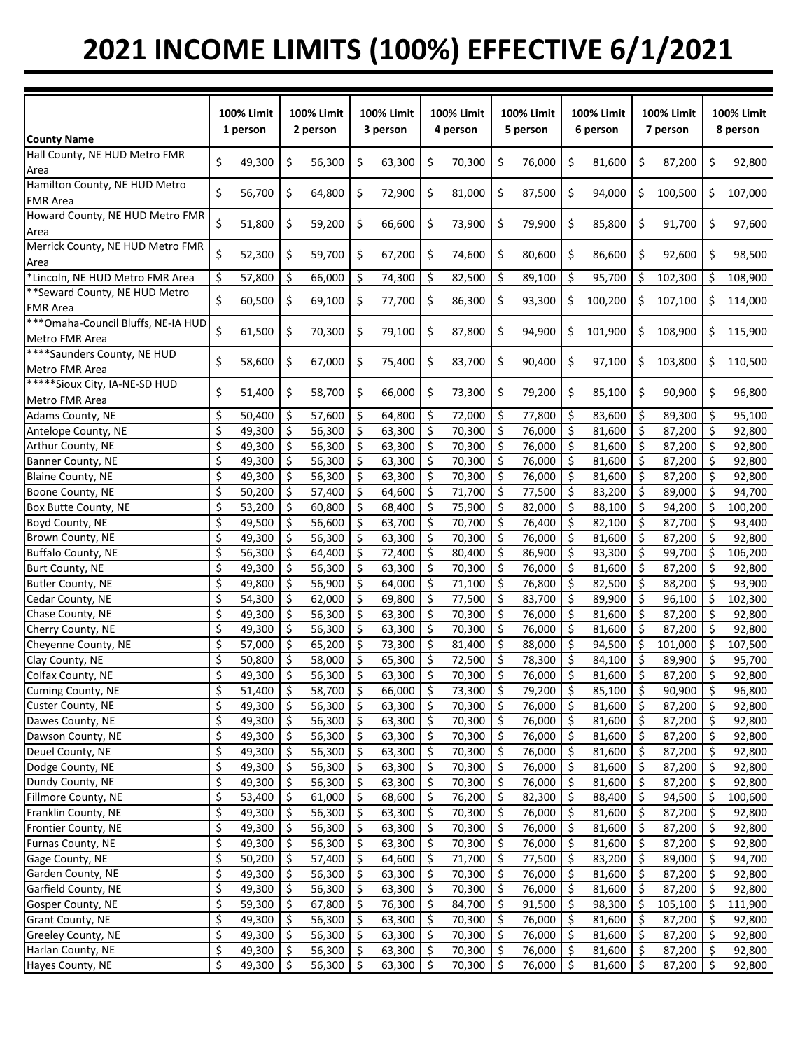## **2021 INCOME LIMITS (100%) EFFECTIVE 6/1/2021**

|                                     | <b>100% Limit</b><br>1 person |        | <b>100% Limit</b><br>2 person |        | <b>100% Limit</b><br>3 person |           | 100% Limit<br>4 person |        | <b>100% Limit</b><br>5 person |           | <b>100% Limit</b><br>6 person |         | <b>100% Limit</b><br>7 person |         | <b>100% Limit</b><br>8 person |         |
|-------------------------------------|-------------------------------|--------|-------------------------------|--------|-------------------------------|-----------|------------------------|--------|-------------------------------|-----------|-------------------------------|---------|-------------------------------|---------|-------------------------------|---------|
| <b>County Name</b>                  |                               |        |                               |        |                               |           |                        |        |                               |           |                               |         |                               |         |                               |         |
| Hall County, NE HUD Metro FMR       | Ś.                            | 49,300 | \$                            | 56,300 | \$                            | 63,300    | \$                     | 70,300 | \$                            | 76,000    | \$                            | 81,600  | \$                            | 87,200  | \$                            | 92,800  |
| Area                                |                               |        |                               |        |                               |           |                        |        |                               |           |                               |         |                               |         |                               |         |
| Hamilton County, NE HUD Metro       | \$                            | 56,700 | \$                            | 64,800 | \$                            | 72,900    | \$                     | 81,000 | \$                            | 87,500    | \$                            | 94,000  | \$                            | 100,500 | \$                            | 107,000 |
| <b>FMR Area</b>                     |                               |        |                               |        |                               |           |                        |        |                               |           |                               |         |                               |         |                               |         |
| Howard County, NE HUD Metro FMR     | \$                            | 51,800 | \$                            | 59,200 | \$                            | 66,600    | \$                     | 73,900 | \$                            | 79,900    | \$                            | 85,800  | \$                            | 91,700  | \$                            | 97,600  |
| Area                                |                               |        |                               |        |                               |           |                        |        |                               |           |                               |         |                               |         |                               |         |
| Merrick County, NE HUD Metro FMR    | \$                            | 52,300 | \$                            | 59,700 | \$                            | 67,200    | \$                     | 74,600 | \$                            | 80,600    | \$                            | 86,600  | \$                            | 92,600  | \$                            | 98,500  |
| Area                                |                               |        |                               |        |                               |           |                        |        |                               |           |                               |         |                               |         |                               |         |
| *Lincoln, NE HUD Metro FMR Area     | \$                            | 57,800 | \$                            | 66,000 | \$                            | 74,300    | \$                     | 82,500 | \$                            | 89,100    | \$                            | 95,700  | \$                            | 102,300 | .\$                           | 108,900 |
| ** Seward County, NE HUD Metro      | \$                            | 60,500 | \$                            | 69,100 | \$                            | 77,700    | \$                     | 86,300 | \$                            | 93,300    | \$                            | 100,200 | \$                            | 107,100 | \$                            | 114,000 |
| <b>FMR Area</b>                     |                               |        |                               |        |                               |           |                        |        |                               |           |                               |         |                               |         |                               |         |
| *** Omaha-Council Bluffs, NE-IA HUD | \$                            | 61,500 | \$                            | 70,300 | \$                            | 79,100    | \$                     | 87,800 | \$                            | 94,900    | \$                            | 101,900 | \$                            | 108,900 | \$                            | 115,900 |
| Metro FMR Area                      |                               |        |                               |        |                               |           |                        |        |                               |           |                               |         |                               |         |                               |         |
| ****Saunders County, NE HUD         | \$                            | 58,600 | \$                            | 67,000 |                               | 75,400    |                        | 83,700 | \$                            | 90,400    | \$                            |         | \$                            | 103,800 | \$                            | 110,500 |
| Metro FMR Area                      |                               |        |                               |        | \$                            |           | \$                     |        |                               |           |                               | 97,100  |                               |         |                               |         |
| *****Sioux City, IA-NE-SD HUD       | \$                            |        |                               |        |                               |           |                        |        |                               |           |                               |         |                               |         |                               |         |
| Metro FMR Area                      |                               | 51,400 | \$                            | 58,700 | \$                            | 66,000    | \$                     | 73,300 | \$                            | 79,200    | \$                            | 85,100  | \$                            | 90,900  | \$                            | 96,800  |
| Adams County, NE                    | Ś                             | 50,400 | \$                            | 57,600 | \$                            | 64,800    | \$                     | 72,000 | \$                            | 77,800    | \$                            | 83,600  | \$                            | 89,300  | \$                            | 95,100  |
| Antelope County, NE                 | \$                            | 49,300 | \$                            | 56,300 | \$                            | 63,300    | \$                     | 70,300 | \$                            | 76,000    | \$                            | 81,600  | \$                            | 87,200  | \$                            | 92,800  |
| Arthur County, NE                   | \$                            | 49,300 | $\zeta$                       | 56,300 | \$                            | 63,300    | \$                     | 70,300 | \$                            | 76,000    | $\zeta$                       | 81,600  | \$                            | 87,200  | \$                            | 92,800  |
| <b>Banner County, NE</b>            | \$                            | 49,300 | $\zeta$                       | 56,300 | \$                            | 63,300    | \$                     | 70,300 | \$                            | 76,000    | $\zeta$                       | 81,600  | $\ddot{\varsigma}$            | 87,200  | \$                            | 92,800  |
| Blaine County, NE                   | \$                            | 49,300 | \$                            | 56,300 | \$                            | 63,300    | \$                     | 70,300 | \$                            | 76,000    | -\$                           | 81,600  | \$                            | 87,200  | \$                            | 92,800  |
| Boone County, NE                    | \$                            | 50,200 | \$                            | 57,400 | \$                            | 64,600    | \$                     | 71,700 | \$                            | 77,500    | $\ddot{\varsigma}$            | 83,200  | $\zeta$                       | 89,000  | \$                            | 94,700  |
| Box Butte County, NE                | \$                            | 53,200 | \$                            | 60,800 | \$                            | 68,400    | \$                     | 75,900 | \$                            | 82,000    | -\$                           | 88,100  | \$                            | 94,200  | \$                            | 100,200 |
| Boyd County, NE                     | \$                            | 49,500 | \$                            | 56,600 | \$                            | 63,700    | \$                     | 70,700 | \$                            | 76,400    | \$                            | 82,100  | \$                            | 87,700  | \$                            | 93,400  |
| Brown County, NE                    | \$                            | 49,300 | \$                            | 56,300 | \$                            | 63,300    | \$                     | 70,300 | \$                            | 76,000    | \$                            | 81,600  | \$                            | 87,200  | \$                            | 92,800  |
| <b>Buffalo County, NE</b>           | \$                            | 56,300 | \$                            | 64,400 | \$                            | 72,400    | \$                     | 80,400 | \$                            | 86,900    | \$                            | 93,300  | \$                            | 99,700  | \$                            | 106,200 |
| Burt County, NE                     | \$                            | 49,300 | \$                            | 56,300 | \$                            | 63,300    | \$                     | 70,300 | \$                            | 76,000    | \$                            | 81,600  | \$                            | 87,200  | \$                            | 92,800  |
| <b>Butler County, NE</b>            | \$                            | 49,800 | \$                            | 56,900 | \$                            | 64,000    | \$                     | 71,100 | \$                            | 76,800    | \$                            | 82,500  | \$                            | 88,200  | \$                            | 93,900  |
| Cedar County, NE                    | \$                            | 54,300 | \$                            | 62,000 | \$                            | 69,800    | \$                     | 77,500 | \$                            | 83,700    | \$                            | 89,900  | $\ddot{\varsigma}$            | 96,100  | \$                            | 102,300 |
|                                     | \$                            | 49,300 | \$                            | 56,300 | \$                            | 63,300    | \$                     | 70,300 | \$                            | 76,000    | \$                            | 81,600  | $\ddot{\varsigma}$            | 87,200  | \$                            | 92,800  |
| Chase County, NE                    | \$                            |        |                               | 56,300 |                               | 63,300    | \$                     | 70,300 |                               | 76,000    | $\zeta$                       |         |                               | 87,200  | \$                            |         |
| Cherry County, NE                   |                               | 49,300 | \$                            |        | \$                            |           |                        |        | \$                            |           |                               | 81,600  | \$                            |         |                               | 92,800  |
| Cheyenne County, NE                 | \$<br>\$                      | 57,000 | \$<br>\$                      | 65,200 | \$                            | 73,300    | \$<br>\$               | 81,400 | \$<br>\$                      | 88,000    | \$<br>-\$                     | 94,500  | \$<br>\$                      | 101,000 | \$<br>\$                      | 107,500 |
| Clay County, NE                     |                               | 50,800 |                               | 58,000 | \$                            | 65,300    |                        | 72,500 |                               | 78,300    |                               | 84,100  |                               | 89,900  |                               | 95,700  |
| Colfax County, NE                   | \$                            | 49,300 | $\zeta$                       | 56,300 | \$                            | 63,300    | \$                     | 70,300 | \$                            | 76,000    | $\ddot{\varsigma}$            | 81,600  | \$                            | 87,200  | \$                            | 92,800  |
| Cuming County, NE                   | \$                            | 51,400 | -\$                           | 58,700 | \$                            | 66,000 \$ |                        | 73,300 | -\$                           | 79,200 \$ |                               | 85,100  | -\$                           | 90,900  | \$                            | 96,800  |
| Custer County, NE                   | \$                            | 49,300 | -\$                           | 56,300 | \$                            | 63,300    | .\$                    | 70,300 | \$                            | 76,000    | -\$                           | 81,600  | \$                            | 87,200  | \$                            | 92,800  |
| Dawes County, NE                    | \$                            | 49,300 | \$                            | 56,300 | \$                            | 63,300    | \$                     | 70,300 | \$                            | 76,000    | -\$                           | 81,600  | \$                            | 87,200  | \$                            | 92,800  |
| Dawson County, NE                   | \$                            | 49,300 | \$                            | 56,300 | \$                            | 63,300    | -\$                    | 70,300 | \$                            | 76,000    | -\$                           | 81,600  | \$                            | 87,200  | \$                            | 92,800  |
| Deuel County, NE                    | \$                            | 49,300 | \$                            | 56,300 | \$                            | 63,300    | \$                     | 70,300 | \$                            | 76,000    | \$                            | 81,600  | \$                            | 87,200  | \$                            | 92,800  |
| Dodge County, NE                    | \$                            | 49,300 | \$                            | 56,300 | \$                            | 63,300    | \$                     | 70,300 | \$                            | 76,000    | -\$                           | 81,600  | \$                            | 87,200  | \$                            | 92,800  |
| Dundy County, NE                    | \$                            | 49,300 | \$                            | 56,300 | \$                            | 63,300    | \$                     | 70,300 | \$                            | 76,000    | \$                            | 81,600  | \$                            | 87,200  | \$                            | 92,800  |
| Fillmore County, NE                 | \$                            | 53,400 | \$                            | 61,000 | \$                            | 68,600    | -\$                    | 76,200 | \$                            | 82,300    | $\ddot{\varsigma}$            | 88,400  | \$                            | 94,500  | \$                            | 100,600 |
| Franklin County, NE                 | \$                            | 49,300 | \$                            | 56,300 | \$                            | 63,300    | -\$                    | 70,300 | \$                            | 76,000    | \$                            | 81,600  | \$                            | 87,200  | \$                            | 92,800  |
| Frontier County, NE                 | \$                            | 49,300 | \$                            | 56,300 | \$                            | 63,300    | -\$                    | 70,300 | \$                            | 76,000    | $\ddot{\mathsf{S}}$           | 81,600  | \$                            | 87,200  | \$                            | 92,800  |
| Furnas County, NE                   | \$                            | 49,300 | \$                            | 56,300 | \$                            | 63,300    | -\$                    | 70,300 | \$                            | 76,000    | $\zeta$                       | 81,600  | \$                            | 87,200  | \$                            | 92,800  |
| Gage County, NE                     | \$                            | 50,200 | $\zeta$                       | 57,400 | \$                            | 64,600    | $\ddot{\mathsf{S}}$    | 71,700 | \$                            | 77,500    | \$                            | 83,200  | -\$                           | 89,000  | $\ddot{\mathsf{S}}$           | 94,700  |
| Garden County, NE                   | \$                            | 49,300 | \$                            | 56,300 | \$                            | 63,300    | \$                     | 70,300 | \$                            | 76,000    | $\ddot{\mathsf{S}}$           | 81,600  | \$                            | 87,200  | \$                            | 92,800  |
| Garfield County, NE                 | \$                            | 49,300 | $\ddot{\mathsf{S}}$           | 56,300 | \$                            | 63,300    | \$                     | 70,300 | \$                            | 76,000    | \$                            | 81,600  | \$                            | 87,200  | \$                            | 92,800  |
| Gosper County, NE                   | \$                            | 59,300 | $\ddot{\mathsf{S}}$           | 67,800 | Ŝ.                            | 76,300    | \$                     | 84,700 | \$                            | 91,500    | \$                            | 98,300  | \$                            | 105,100 | \$                            | 111,900 |
| Grant County, NE                    | \$                            | 49,300 | \$                            | 56,300 | \$                            | 63,300    | -\$                    | 70,300 | \$                            | 76,000    | -\$                           | 81,600  | \$                            | 87,200  | \$                            | 92,800  |
| Greeley County, NE                  | \$                            | 49,300 | \$                            | 56,300 | \$                            | 63,300    | \$                     | 70,300 | \$                            | 76,000    | \$                            | 81,600  | \$                            | 87,200  | \$                            | 92,800  |
| Harlan County, NE                   | \$                            | 49,300 | \$                            | 56,300 | \$                            | 63,300    | \$                     | 70,300 | \$.                           | 76,000    | \$                            | 81,600  | \$                            | 87,200  | \$                            | 92,800  |
| Hayes County, NE                    | \$                            | 49,300 | \$                            | 56,300 | \$                            | 63,300    | \$                     | 70,300 | Ŝ.                            | 76,000    | -\$                           | 81,600  | \$                            | 87,200  | \$                            | 92,800  |
|                                     |                               |        |                               |        |                               |           |                        |        |                               |           |                               |         |                               |         |                               |         |